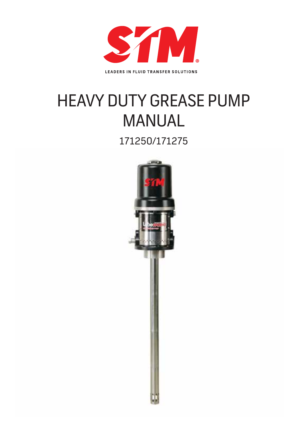

**LEADERS IN FLUID TRANSFER SOLUTIONS** 

# HEAVY DUTY GREASE PUMP **MANUAL**

171250/171275

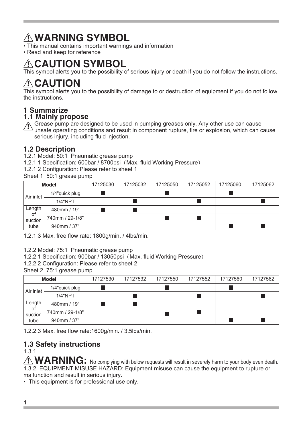## **WARNING SYMBOL**

- This manual contains important warnings and information
- Read and keep for reference

## A CAUTION SYMBOL

This symbol alerts you to the possibility of serious injury or death if you do not follow the instructions.

## **CAUTION**

This symbol alerts you to the possibility of damage to or destruction of equipment if you do not follow the instructions.

## **1 Summarize**

## **1.1 Mainly propose**

Grease pump are designed to be used in pumping greases only. Any other use can cause unsafe operating conditions and result in component rupture, fire or explosion, which can cause serious injury, including fluid injection.

## **1.2 Description**

- 1.2.1 Model: 50:1 Pneumatic grease pump
- 1.2.1.1 Specification: 600bar / 8700psi(Max. fluid Working Pressure)
- 1.2.1.2 Configuration: Please refer to sheet 1

| <b>Model</b>  |                 | 17125030 | 17125032 | 17125050 | 17125052 | 17125060 | 17125062 |
|---------------|-----------------|----------|----------|----------|----------|----------|----------|
| Air inlet     | 1/4"quick plug  |          |          |          |          |          |          |
|               | 1/4"NPT         |          |          |          |          |          |          |
| Length        | 480mm / 19"     |          |          |          |          |          |          |
| of<br>suction | 740mm / 29-1/8" |          |          |          |          |          |          |
| tube          | 940mm / 37"     |          |          |          |          |          |          |

1.2.1.3 Max. free flow rate: 1800g/min. / 4lbs/min.

1.2.2 Model: 75:1 Pneumatic grease pump

1.2.2.1 Specification: 900bar / 13050psi(Max. fluid Working Pressure)

1.2.2.2 Configuration: Please refer to sheet 2

Sheet 2 75:1 grease pump

| <b>Model</b>  |                 | 17127530 | 17127532 | 17127550 | 17127552 | 17127560 | 17127562 |
|---------------|-----------------|----------|----------|----------|----------|----------|----------|
| Air inlet     | 1/4"quick plug  |          |          |          |          |          |          |
|               | 1/4"NPT         |          |          |          |          |          |          |
| Length        | 480mm / 19"     |          |          |          |          |          |          |
| 0f<br>suction | 740mm / 29-1/8" |          |          |          |          |          |          |
| tube          | 940mm / 37"     |          |          |          |          |          |          |

1.2.2.3 Max. free flow rate:1600g/min. / 3.5lbs/min.

## **1.3 Safety instructions**

1.3.1

 $\triangle$  **WARNING:** No complying with below requests will result in severely harm to your body even death. 1.3.2 EQUIPMENT MISUSE HAZARD: Equipment misuse can cause the equipment to rupture or malfunction and result in serious injury.

• This equipment is for professional use only.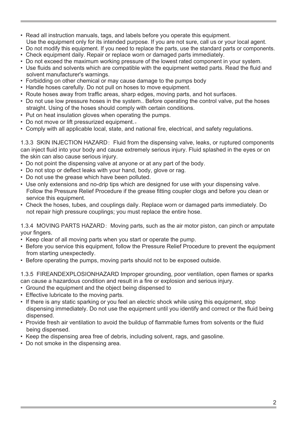- Read all instruction manuals, tags, and labels before you operate this equipment.
- Use the equipment only for its intended purpose. If you are not sure, call us or your local agent.
- Do not modify this equipment. If you need to replace the parts, use the standard parts or components. • Check equipment daily. Repair or replace worn or damaged parts immediately.
- Do not exceed the maximum working pressure of the lowest rated component in your system.
- Use fluids and solvents which are compatible with the equipment wetted parts. Read the fluid and solvent manufacturer's warnings.
- Forbidding on other chemical or may cause damage to the pumps body
- Handle hoses carefully. Do not pull on hoses to move equipment.
- Route hoses away from traffic areas, sharp edges, moving parts, and hot surfaces.
- Do not use low pressure hoses in the system.. Before operating the control valve, put the hoses straight. Using of the hoses should comply with certain conditions.
- Put on heat insulation gloves when operating the pumps.
- Do not move or lift pressurized equipment...
- Comply with all applicable local, state, and national fire, electrical, and safety regulations.

1.3.3 SKIN INJECTION HAZARD: Fluid from the dispensing valve, leaks, or ruptured components can inject fluid into your body and cause extremely serious injury. Fluid splashed in the eyes or on the skin can also cause serious injury.

- Do not point the dispensing valve at anyone or at any part of the body.
- Do not stop or deflect leaks with your hand, body, glove or rag.
- Do not use the grease which have been polluted.
- Use only extensions and no-drip tips which are designed for use with your dispensing valve. Follow the Pressure Relief Procedure if the grease fitting coupler clogs and before you clean or service this equipment.
- Check the hoses, tubes, and couplings daily. Replace worn or damaged parts immediately. Do not repair high pressure couplings; you must replace the entire hose.

1.3.4 MOVING PARTS HAZARD: Moving parts, such as the air motor piston, can pinch or amputate your fingers.

- Keep clear of all moving parts when you start or operate the pump.
- Before you service this equipment, follow the Pressure Relief Procedure to prevent the equipment from starting unexpectedly.
- Before operating the pumps, moving parts should not to be exposed outside.

1.3.5 FIREANDEXPLOSIONHAZARD Improper grounding, poor ventilation, open flames or sparks can cause a hazardous condition and result in a fire or explosion and serious injury.

- Ground the equipment and the object being dispensed to
- Effective lubricate to the moving parts.
- If there is any static sparking or you feel an electric shock while using this equipment, stop dispensing immediately. Do not use the equipment until you identify and correct or the fluid being dispensed.
- Provide fresh air ventilation to avoid the buildup of flammable fumes from solvents or the fluid being dispensed.
- Keep the dispensing area free of debris, including solvent, rags, and gasoline.
- Do not smoke in the dispensing area.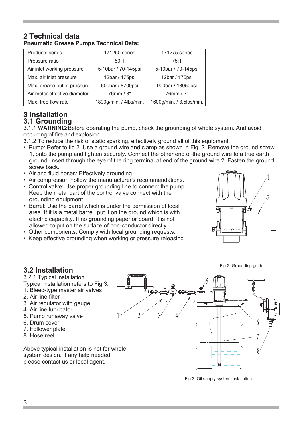| Pheumatic Grease Pumps Technical Data: |                        |                          |  |  |
|----------------------------------------|------------------------|--------------------------|--|--|
| Products series                        | 171250 series          | 171275 series            |  |  |
| Pressure ratio                         | 50:1                   | 75:1                     |  |  |
| Air inlet working pressure             | 5-10bar / 70-145psi    | 5-10bar / 70-145psi      |  |  |
| Max. air inlet pressure                | 12bar / 175psi         | 12bar / 175psi           |  |  |
| Max. grease outlet pressure            | 600bar / 8700psi       | 900bar / 13050psi        |  |  |
| Air motor effective diameter           | 76mm / 3"              | 76mm / 3"                |  |  |
| Max, free flow rate                    | 1800q/min. / 4lbs/min. | 1600q/min. / 3.5lbs/min. |  |  |

## **2 Technical data Pneumatic Grease Pumps Technical Data:**

### **3 Installation 3.1 Grounding**

3.1.1 **WARNING:**Before operating the pump, check the grounding of whole system. And avoid occurring of fire and explosion.

- 3.1.2 To reduce the risk of static sparking, effectively ground all of this equipment.
- Pump: Refer to fig.2. Use a ground wire and clamp as shown in Fig. 2. Remove the ground screw 1, onto the pump and tighten securely. Connect the other end of the ground wire to a true earth ground. Insert through the eye of the ring terminal at end of the ground wire 2. Fasten the ground screw back.
- Air and fluid hoses: Effectively grounding
- Air compressor: Follow the manufacturer's recommendations.
- Control valve: Use proper grounding line to connect the pump. Keep the metal part of the control valve connect with the grounding equipment.
- Barrel: Use the barrel which is under the permission of local area. If it is a metal barrel, put it on the ground which is with electric capability. If no grounding paper or board, it is not allowed to put on the surface of non-conductor directly.
- Other components: Comply with local grounding requests.
- Keep effective grounding when working or pressure releasing.



#### Fig.2: Grounding guide

## **3.2 Installation**

3.2.1 Typical installation

- Typical installation refers to Fig.3:
- 1. Bleed-type master air valves
- 2. Air line filter
- 3. Air regulator with gauge
- 4. Air line lubricator
- 5. Pump runaway valve
- 6. Drum cover
- 7. Follower plate
- 8. Hose reel

Above typical installation is not for whole system design. If any help needed, please contact us or local agent.



Fig.3: Oil supply system installation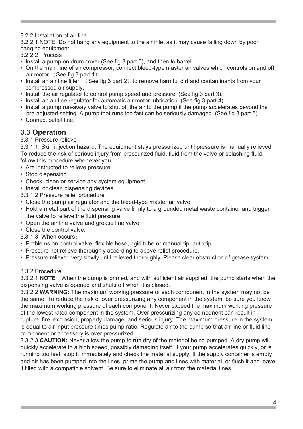3.2.2 Installation of air line

3.2.2.1 NOTE: Do not hang any equipment to the air inlet as it may cause falling down by poor hanging equipment.

- 3.2.2.2 Process
- Install a pump on drum cover (See fig.3 part 6), and then to barrel.
- On the main line of air compressor, connect bleed-type master air valves which controls on and off air motor. (See fig.3 part 1).
- Install an air line filter. (See fig. 3 part 2) to remove harmful dirt and contaminants from your compressed air supply.
- Install the air regulator to control pump speed and pressure. (See fig.3 part 3).
- Install an air line regulator for automatic air motor lubrication. (See fig.3 part 4).
- Install a pump run-away valve to shut off the air to the pump if the pump accelerates beyond the pre-adjusted setting. A pump that runs too fast can be seriously damaged. (See fig.3 part 5).
- Connect outlet line.

## **3.3 Operation**

## 3.3.1 Pressure relieve

3.3.1.1. Skin injection hazard: The equipment stays pressurized until pressure is manually relieved. To reduce the risk of serious injury from pressurized fluid, fluid from the valve or splashing fluid, follow this procedure whenever you.

- Are instructed to relieve pressure
- Stop dispensing
- Check, clean or service any system equipment
- Install or clean dispensing devices.
- 3.3.1.2 Pressure relief procedure
- Close the pump air regulator and the bleed-type master air valve;
- Hold a metal part of the dispensing valve firmly to a grounded metal waste container and trigger the valve to relieve the fluid pressure.
- Open the air line valve and grease line valve;
- Close the control valve.
- 3.3.1.3. When occurs:
- Problems on control valve, flexible hose, rigid tube or manual tip, auto tip.
- Pressure not relieve thoroughly according to above relief procedure.
- Pressure relieved very slowly until relieved thoroughly. Please clear obstruction of grease system.

### 3.3.2 Procedure

3.3.2.1 **NOTE**: When the pump is primed, and with sufficient air supplied, the pump starts when the dispensing valve is opened and shuts off when it is closed.

3.3.2.2 **WARNING:** The maximum working pressure of each component in the system may not be the same. To reduce the risk of over pressurizing any component in the system, be sure you know the maximum working pressure of each component. Never exceed the maximum working pressure of the lowest rated component in the system. Over pressurizing any component can result in rupture, fire, explosion, property damage, and serious injury. The maximum pressure in the system is equal to air input pressure times pump ratio. Regulate air to the pump so that air line or fluid line component or accessory is over pressurized

3.3.2.3 **CAUTION:** Never allow the pump to run dry of the material being pumped. A dry pump will quickly accelerate to a high speed, possibly damaging itself. If your pump accelerates quickly, or is running too fast, stop it immediately and check the material supply. If the supply container is empty and air has been pumped into the lines, prime the pump and lines with material, or flush it and leave it filled with a compatible solvent. Be sure to eliminate all air from the material lines.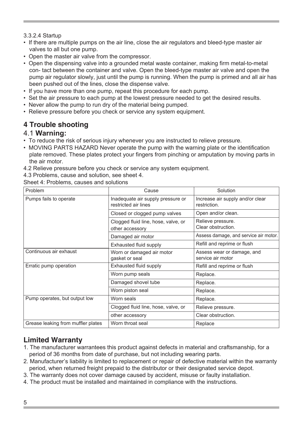## 3.3.2.4 Startup

- If there are multiple pumps on the air line, close the air regulators and bleed-type master air valves to all but one pump.
- Open the master air valve from the compressor.
- Open the dispensing valve into a grounded metal waste container, making firm metal-to-metal con- tact between the container and valve. Open the bleed-type master air valve and open the pump air regulator slowly, just until the pump is running. When the pump is primed and all air has been pushed out of the lines, close the dispense valve.
- If you have more than one pump, repeat this procedure for each pump.
- Set the air pressure to each pump at the lowest pressure needed to get the desired results.
- Never allow the pump to run dry of the material being pumped.
- Relieve pressure before you check or service any system equipment.

## **4 Trouble shooting**

## 4.1 **Warning:**

- To reduce the risk of serious injury whenever you are instructed to relieve pressure.
- MOVING PARTS HAZARD Never operate the pump with the warning plate or the identification plate removed. These plates protect your fingers from pinching or amputation by moving parts in the air motor.
- 4.2 Relieve pressure before you check or service any system equipment.
- 4.3 Problems, cause and solution, see sheet 4.

Sheet 4: Problems, causes and solutions

| Problem                            | Cause                                                     | Solution                                        |  |
|------------------------------------|-----------------------------------------------------------|-------------------------------------------------|--|
| Pumps fails to operate             | Inadequate air supply pressure or<br>restricted air lines | Increase air supply and/or clear<br>restriction |  |
|                                    | Closed or clogged pump valves                             | Open and/or clean.                              |  |
|                                    | Clogged fluid line, hose, valve, or<br>other accessory    | Relieve pressure.<br>Clear obstruction.         |  |
|                                    | Damaged air motor                                         | Assess damage, and service air motor.           |  |
|                                    | Exhausted fluid supply                                    | Refill and reprime or flush                     |  |
| Continuous air exhaust             | Worn or damaged air motor<br>gasket or seal               | Assess wear or damage, and<br>service air motor |  |
| Erratic pump operation             | Exhausted fluid supply                                    | Refill and reprime or flush                     |  |
|                                    | Worn pump seals                                           | Replace.                                        |  |
|                                    | Damaged shovel tube                                       | Replace.                                        |  |
|                                    | Worn piston seal                                          | Replace.                                        |  |
| Pump operates, but output low      | Worn seals                                                | Replace.                                        |  |
|                                    | Clogged fluid line, hose, valve, or                       | Relieve pressure.                               |  |
|                                    | other accessory                                           | Clear obstruction.                              |  |
| Grease leaking from muffler plates | Worn throat seal                                          | Replace                                         |  |

## **Limited Warranty**

- 1. The manufacturer warrantees this product against defects in material and craftsmanship, for a period of 36 months from date of purchase, but not including wearing parts.
- 2. Manufacturer's liability is limited to replacement or repair of defective material within the warranty period, when returned freight prepaid to the distributor or their designated service depot.
- 3. The warranty does not cover damage caused by accident, misuse or faulty installation.
- 4. The product must be installed and maintained in compliance with the instructions.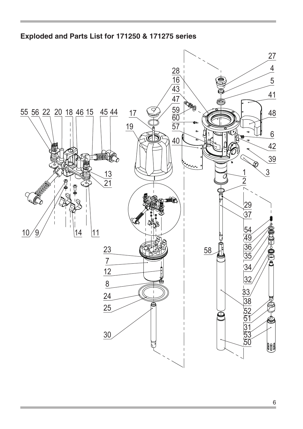## **Exploded and Parts List for 171250 & 171275 series**